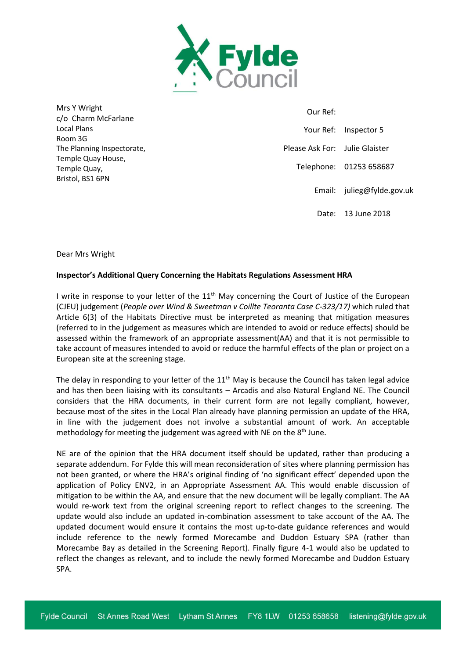

Mrs Y Wright c/o Charm McFarlane Local Plans Room 3G The Planning Inspectorate, Temple Quay House, Temple Quay, Bristol, BS1 6PN

 Our Ref: Your Ref: Inspector 5 Please Ask For: Julie Glaister Telephone: 01253 658687 Email: julieg@fylde.gov.uk Date: 13 June 2018

Dear Mrs Wright

## **Inspector's Additional Query Concerning the Habitats Regulations Assessment HRA**

I write in response to your letter of the 11<sup>th</sup> May concerning the Court of Justice of the European (CJEU) judgement (*People over Wind & Sweetman v Coillte Teoranta Case C-323/17)* which ruled that Article 6(3) of the Habitats Directive must be interpreted as meaning that mitigation measures (referred to in the judgement as measures which are intended to avoid or reduce effects) should be assessed within the framework of an appropriate assessment(AA) and that it is not permissible to take account of measures intended to avoid or reduce the harmful effects of the plan or project on a European site at the screening stage.

The delay in responding to your letter of the  $11<sup>th</sup>$  May is because the Council has taken legal advice and has then been liaising with its consultants – Arcadis and also Natural England NE. The Council considers that the HRA documents, in their current form are not legally compliant, however, because most of the sites in the Local Plan already have planning permission an update of the HRA, in line with the judgement does not involve a substantial amount of work. An acceptable methodology for meeting the judgement was agreed with NE on the  $8<sup>th</sup>$  June.

NE are of the opinion that the HRA document itself should be updated, rather than producing a separate addendum. For Fylde this will mean reconsideration of sites where planning permission has not been granted, or where the HRA's original finding of 'no significant effect' depended upon the application of Policy ENV2, in an Appropriate Assessment AA. This would enable discussion of mitigation to be within the AA, and ensure that the new document will be legally compliant. The AA would re-work text from the original screening report to reflect changes to the screening. The update would also include an updated in-combination assessment to take account of the AA. The updated document would ensure it contains the most up-to-date guidance references and would include reference to the newly formed Morecambe and Duddon Estuary SPA (rather than Morecambe Bay as detailed in the Screening Report). Finally figure 4-1 would also be updated to reflect the changes as relevant, and to include the newly formed Morecambe and Duddon Estuary SPA.